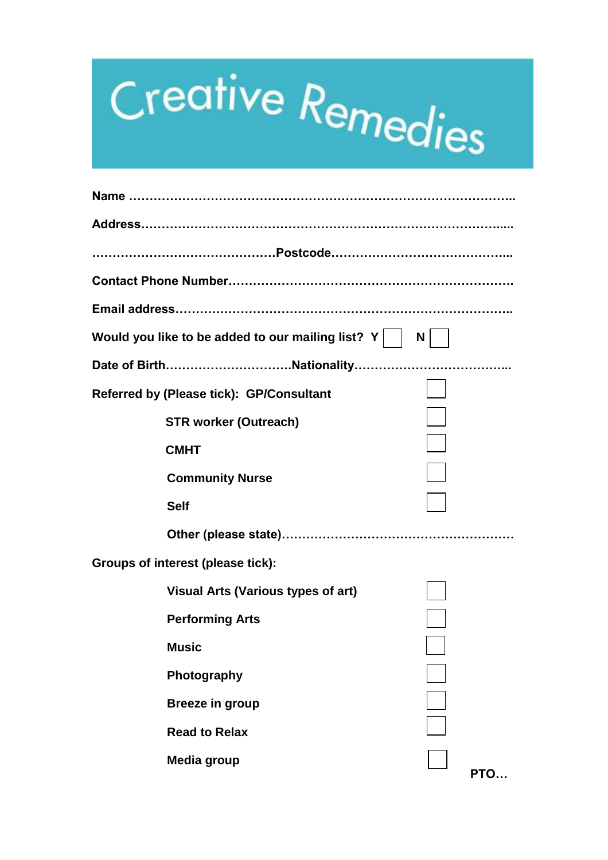## Creative Remedies

| Would you like to be added to our mailing list? $Y$ | N |     |
|-----------------------------------------------------|---|-----|
|                                                     |   |     |
| Referred by (Please tick): GP/Consultant            |   |     |
| <b>STR worker (Outreach)</b>                        |   |     |
| <b>CMHT</b>                                         |   |     |
| <b>Community Nurse</b>                              |   |     |
| <b>Self</b>                                         |   |     |
|                                                     |   |     |
| Groups of interest (please tick):                   |   |     |
| <b>Visual Arts (Various types of art)</b>           |   |     |
| <b>Performing Arts</b>                              |   |     |
| <b>Music</b>                                        |   |     |
| Photography                                         |   |     |
| <b>Breeze in group</b>                              |   |     |
| <b>Read to Relax</b>                                |   |     |
| Media group                                         |   |     |
|                                                     |   | PTO |